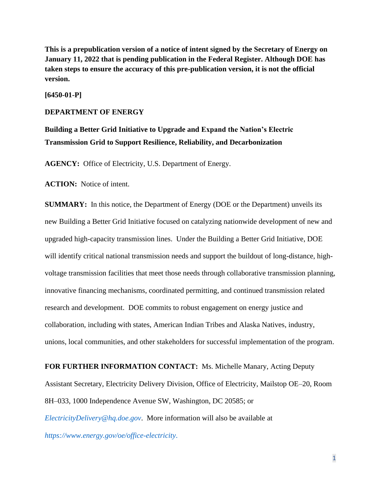**This is a prepublication version of a notice of intent signed by the Secretary of Energy on January 11, 2022 that is pending publication in the Federal Register. Although DOE has taken steps to ensure the accuracy of this pre-publication version, it is not the official version.**

**[6450-01-P]**

## **DEPARTMENT OF ENERGY**

**Building a Better Grid Initiative to Upgrade and Expand the Nation's Electric Transmission Grid to Support Resilience, Reliability, and Decarbonization**

**AGENCY:** Office of Electricity, U.S. Department of Energy.

**ACTION:** Notice of intent.

**SUMMARY:** In this notice, the Department of Energy (DOE or the Department) unveils its new Building a Better Grid Initiative focused on catalyzing nationwide development of new and upgraded high-capacity transmission lines. Under the Building a Better Grid Initiative, DOE will identify critical national transmission needs and support the buildout of long-distance, highvoltage transmission facilities that meet those needs through collaborative transmission planning, innovative financing mechanisms, coordinated permitting, and continued transmission related research and development. DOE commits to robust engagement on energy justice and collaboration, including with states, American Indian Tribes and Alaska Natives, industry, unions, local communities, and other stakeholders for successful implementation of the program.

**FOR FURTHER INFORMATION CONTACT:** Ms. Michelle Manary, Acting Deputy Assistant Secretary, Electricity Delivery Division, Office of Electricity, Mailstop OE–20, Room 8H–033, 1000 Independence Avenue SW, Washington, DC 20585; or *[ElectricityDelivery@hq.doe.gov](mailto:ElectricityDelivery@hq.doe.gov)*. More information will also be available at *<https://www.energy.gov/oe/office-electricity>*.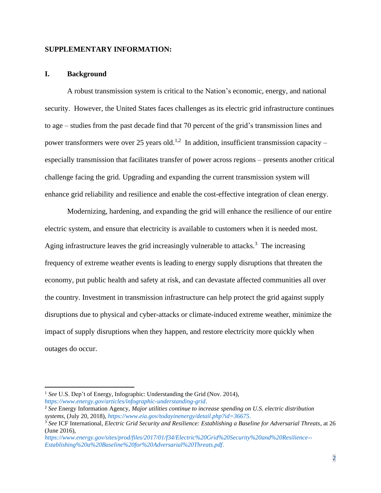## **SUPPLEMENTARY INFORMATION:**

#### **I. Background**

A robust transmission system is critical to the Nation's economic, energy, and national security. However, the United States faces challenges as its electric grid infrastructure continues to age – studies from the past decade find that 70 percent of the grid's transmission lines and power transformers were over 25 years old.<sup>1,2</sup> In addition, insufficient transmission capacity – especially transmission that facilitates transfer of power across regions – presents another critical challenge facing the grid. Upgrading and expanding the current transmission system will enhance grid reliability and resilience and enable the cost-effective integration of clean energy.

Modernizing, hardening, and expanding the grid will enhance the resilience of our entire electric system, and ensure that electricity is available to customers when it is needed most. Aging infrastructure leaves the grid increasingly vulnerable to attacks.<sup>3</sup> The increasing frequency of extreme weather events is leading to energy supply disruptions that threaten the economy, put public health and safety at risk, and can devastate affected communities all over the country. Investment in transmission infrastructure can help protect the grid against supply disruptions due to physical and cyber-attacks or climate-induced extreme weather, minimize the impact of supply disruptions when they happen, and restore electricity more quickly when outages do occur.

<sup>&</sup>lt;sup>1</sup> See U.S. Dep't of Energy, Infographic: Understanding the Grid (Nov. 2014), *<https://www.energy.gov/articles/infographic-understanding-grid>*.

<sup>2</sup> *See* Energy Information Agency, *Major utilities continue to increase spending on U.S. electric distribution systems*, (July 20, 2018), *[https://www.eia.gov/todayinenergy/detail.php?id=36675.](https://www.eia.gov/todayinenergy/detail.php?id=36675)*

<sup>3</sup> *See* ICF International, *Electric Grid Security and Resilience: Establishing a Baseline for Adversarial Threats*, at 26 (June 2016),

*[https://www.energy.gov/sites/prod/files/2017/01/f34/Electric%20Grid%20Security%20and%20Resilience--](https://www.energy.gov/sites/prod/files/2017/01/f34/Electric%20Grid%20Security%20and%20Resilience--Establishing%20a%20Baseline%20for%20Adversarial%20Threats.pdf) [Establishing%20a%20Baseline%20for%20Adversarial%20Threats.pdf](https://www.energy.gov/sites/prod/files/2017/01/f34/Electric%20Grid%20Security%20and%20Resilience--Establishing%20a%20Baseline%20for%20Adversarial%20Threats.pdf)*.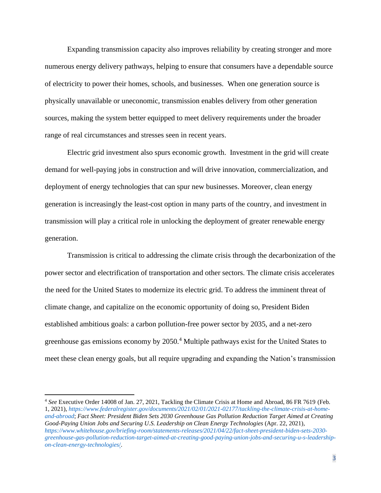Expanding transmission capacity also improves reliability by creating stronger and more numerous energy delivery pathways, helping to ensure that consumers have a dependable source of electricity to power their homes, schools, and businesses. When one generation source is physically unavailable or uneconomic, transmission enables delivery from other generation sources, making the system better equipped to meet delivery requirements under the broader range of real circumstances and stresses seen in recent years.

Electric grid investment also spurs economic growth. Investment in the grid will create demand for well-paying jobs in construction and will drive innovation, commercialization, and deployment of energy technologies that can spur new businesses. Moreover, clean energy generation is increasingly the least-cost option in many parts of the country, and investment in transmission will play a critical role in unlocking the deployment of greater renewable energy generation.

Transmission is critical to addressing the climate crisis through the decarbonization of the power sector and electrification of transportation and other sectors. The climate crisis accelerates the need for the United States to modernize its electric grid. To address the imminent threat of climate change, and capitalize on the economic opportunity of doing so, President Biden established ambitious goals: a carbon pollution-free power sector by 2035, and a net-zero greenhouse gas emissions economy by 2050.<sup>4</sup> Multiple pathways exist for the United States to meet these clean energy goals, but all require upgrading and expanding the Nation's transmission

<sup>4</sup> *See* Executive Order 14008 of Jan. 27, 2021, Tackling the Climate Crisis at Home and Abroad, 86 FR 7619 (Feb. 1, 2021), *[https://www.federalregister.gov/documents/2021/02/01/2021-02177/tackling-the-climate-crisis-at-home](https://www.federalregister.gov/documents/2021/02/01/2021-02177/tackling-the-climate-crisis-at-home-and-abroad)[and-abroad](https://www.federalregister.gov/documents/2021/02/01/2021-02177/tackling-the-climate-crisis-at-home-and-abroad)*; *Fact Sheet: President Biden Sets 2030 Greenhouse Gas Pollution Reduction Target Aimed at Creating Good-Paying Union Jobs and Securing U.S. Leadership on Clean Energy Technologies* (Apr. 22, 2021), *[https://www.whitehouse.gov/briefing-room/statements-releases/2021/04/22/fact-sheet-president-biden-sets-2030](https://www.whitehouse.gov/briefing-room/statements-releases/2021/04/22/fact-sheet-president-biden-sets-2030-greenhouse-gas-pollution-reduction-target-aimed-at-creating-good-paying-union-jobs-and-securing-u-s-leadership-on-clean-energy-technologies/) [greenhouse-gas-pollution-reduction-target-aimed-at-creating-good-paying-union-jobs-and-securing-u-s-leadership](https://www.whitehouse.gov/briefing-room/statements-releases/2021/04/22/fact-sheet-president-biden-sets-2030-greenhouse-gas-pollution-reduction-target-aimed-at-creating-good-paying-union-jobs-and-securing-u-s-leadership-on-clean-energy-technologies/)[on-clean-energy-technologies](https://www.whitehouse.gov/briefing-room/statements-releases/2021/04/22/fact-sheet-president-biden-sets-2030-greenhouse-gas-pollution-reduction-target-aimed-at-creating-good-paying-union-jobs-and-securing-u-s-leadership-on-clean-energy-technologies/)*/.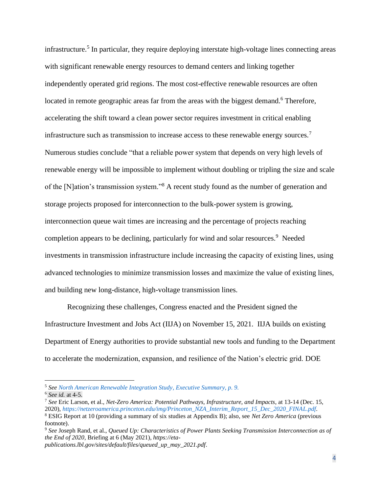infrastructure. 5 In particular, they require deploying interstate high-voltage lines connecting areas with significant renewable energy resources to demand centers and linking together independently operated grid regions. The most cost-effective renewable resources are often located in remote geographic areas far from the areas with the biggest demand.<sup>6</sup> Therefore, accelerating the shift toward a clean power sector requires investment in critical enabling infrastructure such as transmission to increase access to these renewable energy sources.<sup>7</sup> Numerous studies conclude "that a reliable power system that depends on very high levels of renewable energy will be impossible to implement without doubling or tripling the size and scale of the [N]ation's transmission system."<sup>8</sup> A recent study found as the number of generation and storage projects proposed for interconnection to the bulk-power system is growing, interconnection queue wait times are increasing and the percentage of projects reaching completion appears to be declining, particularly for wind and solar resources.<sup>9</sup> Needed investments in transmission infrastructure include increasing the capacity of existing lines, using advanced technologies to minimize transmission losses and maximize the value of existing lines, and building new long-distance, high-voltage transmission lines.

Recognizing these challenges, Congress enacted and the President signed the Infrastructure Investment and Jobs Act (IIJA) on November 15, 2021. IIJA builds on existing Department of Energy authorities to provide substantial new tools and funding to the Department to accelerate the modernization, expansion, and resilience of the Nation's electric grid. DOE

*publications.lbl.gov/sites/default/files/queued\_up\_may\_2021.pdf*.

<sup>5</sup> *See [North American Renewable Integration Study,](https://www.nrel.gov/docs/fy21osti/79224.pdf) Executive Summary, p. 9.*

<sup>6</sup> *See id.* at 4-5.

<sup>7</sup> *See* Eric Larson, et al., *Net-Zero America: Potential Pathways, Infrastructure, and Impacts*, at 13-14 (Dec. 15, 2020), *[https://netzeroamerica.princeton.edu/img/Princeton\\_NZA\\_Interim\\_Report\\_15\\_Dec\\_2020\\_FINAL.pdf](https://netzeroamerica.princeton.edu/img/Princeton_NZA_Interim_Report_15_Dec_2020_FINAL.pdf)*. <sup>8</sup> ESIG Report at 10 (providing a summary of six studies at Appendix B); also, see *Net Zero America* (previous footnote).

<sup>9</sup> *See* Joseph Rand, et al., *Queued Up: Characteristics of Power Plants Seeking Transmission Interconnection as of the End of 2020,* Briefing at 6 (May 2021), *https://eta-*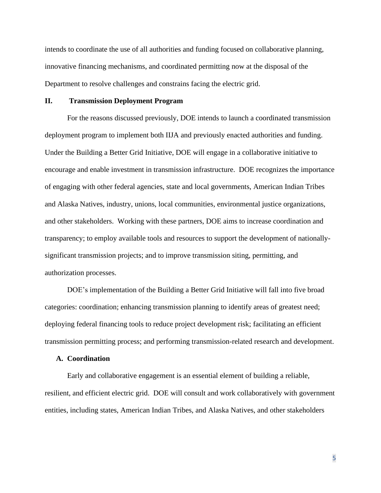intends to coordinate the use of all authorities and funding focused on collaborative planning, innovative financing mechanisms, and coordinated permitting now at the disposal of the Department to resolve challenges and constrains facing the electric grid.

## **II. Transmission Deployment Program**

For the reasons discussed previously, DOE intends to launch a coordinated transmission deployment program to implement both IIJA and previously enacted authorities and funding. Under the Building a Better Grid Initiative, DOE will engage in a collaborative initiative to encourage and enable investment in transmission infrastructure. DOE recognizes the importance of engaging with other federal agencies, state and local governments, American Indian Tribes and Alaska Natives, industry, unions, local communities, environmental justice organizations, and other stakeholders. Working with these partners, DOE aims to increase coordination and transparency; to employ available tools and resources to support the development of nationallysignificant transmission projects; and to improve transmission siting, permitting, and authorization processes.

DOE's implementation of the Building a Better Grid Initiative will fall into five broad categories: coordination; enhancing transmission planning to identify areas of greatest need; deploying federal financing tools to reduce project development risk; facilitating an efficient transmission permitting process; and performing transmission-related research and development.

#### **A. Coordination**

Early and collaborative engagement is an essential element of building a reliable, resilient, and efficient electric grid. DOE will consult and work collaboratively with government entities, including states, American Indian Tribes, and Alaska Natives, and other stakeholders

5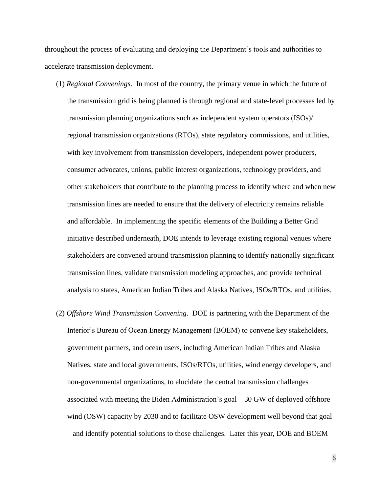throughout the process of evaluating and deploying the Department's tools and authorities to accelerate transmission deployment.

- (1) *Regional Convenings*. In most of the country, the primary venue in which the future of the transmission grid is being planned is through regional and state-level processes led by transmission planning organizations such as independent system operators (ISOs)/ regional transmission organizations (RTOs), state regulatory commissions, and utilities, with key involvement from transmission developers, independent power producers, consumer advocates, unions, public interest organizations, technology providers, and other stakeholders that contribute to the planning process to identify where and when new transmission lines are needed to ensure that the delivery of electricity remains reliable and affordable. In implementing the specific elements of the Building a Better Grid initiative described underneath, DOE intends to leverage existing regional venues where stakeholders are convened around transmission planning to identify nationally significant transmission lines, validate transmission modeling approaches, and provide technical analysis to states, American Indian Tribes and Alaska Natives, ISOs/RTOs, and utilities.
- (2) *Offshore Wind Transmission Convening*. DOE is partnering with the Department of the Interior's Bureau of Ocean Energy Management (BOEM) to convene key stakeholders, government partners, and ocean users, including American Indian Tribes and Alaska Natives, state and local governments, ISOs/RTOs, utilities, wind energy developers, and non-governmental organizations, to elucidate the central transmission challenges associated with meeting the Biden Administration's goal – 30 GW of deployed offshore wind (OSW) capacity by 2030 and to facilitate OSW development well beyond that goal – and identify potential solutions to those challenges. Later this year, DOE and BOEM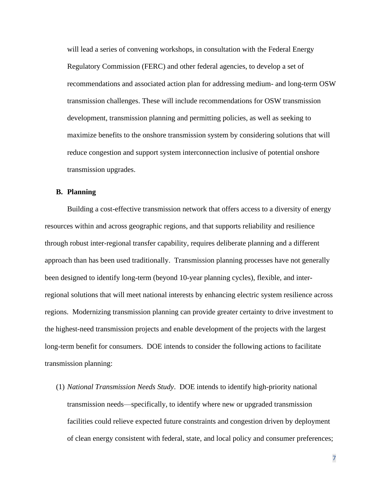will lead a series of convening workshops, in consultation with the Federal Energy Regulatory Commission (FERC) and other federal agencies, to develop a set of recommendations and associated action plan for addressing medium- and long-term OSW transmission challenges. These will include recommendations for OSW transmission development, transmission planning and permitting policies, as well as seeking to maximize benefits to the onshore transmission system by considering solutions that will reduce congestion and support system interconnection inclusive of potential onshore transmission upgrades.

## **B. Planning**

Building a cost-effective transmission network that offers access to a diversity of energy resources within and across geographic regions, and that supports reliability and resilience through robust inter-regional transfer capability, requires deliberate planning and a different approach than has been used traditionally. Transmission planning processes have not generally been designed to identify long-term (beyond 10-year planning cycles), flexible, and interregional solutions that will meet national interests by enhancing electric system resilience across regions. Modernizing transmission planning can provide greater certainty to drive investment to the highest-need transmission projects and enable development of the projects with the largest long-term benefit for consumers. DOE intends to consider the following actions to facilitate transmission planning:

(1) *National Transmission Needs Study*. DOE intends to identify high-priority national transmission needs—specifically, to identify where new or upgraded transmission facilities could relieve expected future constraints and congestion driven by deployment of clean energy consistent with federal, state, and local policy and consumer preferences;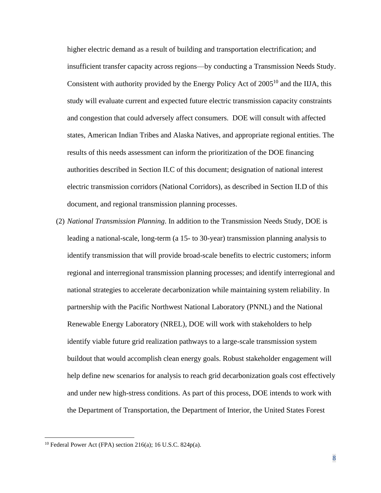higher electric demand as a result of building and transportation electrification; and insufficient transfer capacity across regions—by conducting a Transmission Needs Study. Consistent with authority provided by the Energy Policy Act of  $2005^{10}$  and the IIJA, this study will evaluate current and expected future electric transmission capacity constraints and congestion that could adversely affect consumers. DOE will consult with affected states, American Indian Tribes and Alaska Natives, and appropriate regional entities. The results of this needs assessment can inform the prioritization of the DOE financing authorities described in Section II.C of this document; designation of national interest electric transmission corridors (National Corridors), as described in Section II.D of this document, and regional transmission planning processes.

(2) *National Transmission Planning*. In addition to the Transmission Needs Study, DOE is leading a national-scale, long-term (a 15- to 30-year) transmission planning analysis to identify transmission that will provide broad-scale benefits to electric customers; inform regional and interregional transmission planning processes; and identify interregional and national strategies to accelerate decarbonization while maintaining system reliability. In partnership with the Pacific Northwest National Laboratory (PNNL) and the National Renewable Energy Laboratory (NREL), DOE will work with stakeholders to help identify viable future grid realization pathways to a large-scale transmission system buildout that would accomplish clean energy goals. Robust stakeholder engagement will help define new scenarios for analysis to reach grid decarbonization goals cost effectively and under new high-stress conditions. As part of this process, DOE intends to work with the Department of Transportation, the Department of Interior, the United States Forest

 $10$  Federal Power Act (FPA) section 216(a); 16 U.S.C. 824p(a).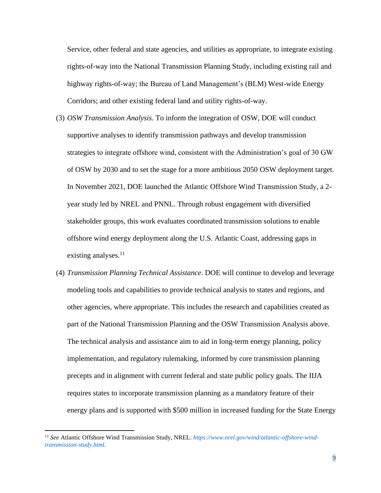Service, other federal and state agencies, and utilities as appropriate, to integrate existing rights-of-way into the National Transmission Planning Study, including existing rail and highway rights-of-way; the Bureau of Land Management's (BLM) West-wide Energy Corridors; and other existing federal land and utility rights-of-way.

- (3) *OSW Transmission Analysis*. To inform the integration of OSW, DOE will conduct supportive analyses to identify transmission pathways and develop transmission strategies to integrate offshore wind, consistent with the Administration's goal of 30 GW of OSW by 2030 and to set the stage for a more ambitious 2050 OSW deployment target. In November 2021, DOE launched the Atlantic Offshore Wind Transmission Study, a 2 year study led by NREL and PNNL. Through robust engagement with diversified stakeholder groups, this work evaluates coordinated transmission solutions to enable offshore wind energy deployment along the U.S. Atlantic Coast, addressing gaps in existing analyses.<sup>11</sup>
- (4) *Transmission Planning Technical Assistance*. DOE will continue to develop and leverage modeling tools and capabilities to provide technical analysis to states and regions, and other agencies, where appropriate. This includes the research and capabilities created as part of the National Transmission Planning and the OSW Transmission Analysis above. The technical analysis and assistance aim to aid in long-term energy planning, policy implementation, and regulatory rulemaking, informed by core transmission planning precepts and in alignment with current federal and state public policy goals. The IIJA requires states to incorporate transmission planning as a mandatory feature of their energy plans and is supported with \$500 million in increased funding for the State Energy

<sup>11</sup> *See* Atlantic Offshore Wind Transmission Study, NREL. *[https://www.nrel.gov/wind/atlantic-offshore-wind](https://www.nrel.gov/wind/atlantic-offshore-wind-transmission-study.html)[transmission-study.html](https://www.nrel.gov/wind/atlantic-offshore-wind-transmission-study.html)*.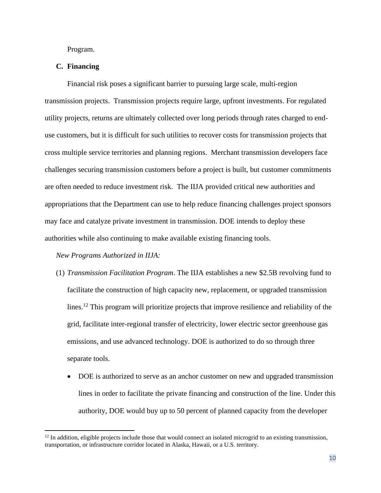Program.

# **C. Financing**

Financial risk poses a significant barrier to pursuing large scale, multi-region transmission projects. Transmission projects require large, upfront investments. For regulated utility projects, returns are ultimately collected over long periods through rates charged to enduse customers, but it is difficult for such utilities to recover costs for transmission projects that cross multiple service territories and planning regions. Merchant transmission developers face challenges securing transmission customers before a project is built, but customer commitments are often needed to reduce investment risk. The IIJA provided critical new authorities and appropriations that the Department can use to help reduce financing challenges project sponsors may face and catalyze private investment in transmission. DOE intends to deploy these authorities while also continuing to make available existing financing tools.

# *New Programs Authorized in IIJA:*

- (1) *Transmission Facilitation Program*. The IIJA establishes a new \$2.5B revolving fund to facilitate the construction of high capacity new, replacement, or upgraded transmission lines.<sup>12</sup> This program will prioritize projects that improve resilience and reliability of the grid, facilitate inter-regional transfer of electricity, lower electric sector greenhouse gas emissions, and use advanced technology. DOE is authorized to do so through three separate tools.
	- DOE is authorized to serve as an anchor customer on new and upgraded transmission lines in order to facilitate the private financing and construction of the line. Under this authority, DOE would buy up to 50 percent of planned capacity from the developer

 $12$  In addition, eligible projects include those that would connect an isolated microgrid to an existing transmission, transportation, or infrastructure corridor located in Alaska, Hawaii, or a U.S. territory.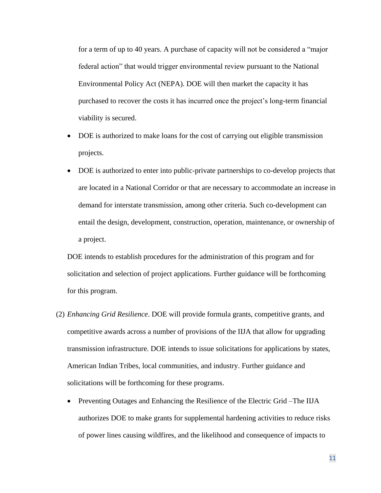for a term of up to 40 years. A purchase of capacity will not be considered a "major federal action" that would trigger environmental review pursuant to the National Environmental Policy Act (NEPA). DOE will then market the capacity it has purchased to recover the costs it has incurred once the project's long-term financial viability is secured.

- DOE is authorized to make loans for the cost of carrying out eligible transmission projects.
- DOE is authorized to enter into public-private partnerships to co-develop projects that are located in a National Corridor or that are necessary to accommodate an increase in demand for interstate transmission, among other criteria. Such co-development can entail the design, development, construction, operation, maintenance, or ownership of a project.

DOE intends to establish procedures for the administration of this program and for solicitation and selection of project applications. Further guidance will be forthcoming for this program.

- (2) *Enhancing Grid Resilience*. DOE will provide formula grants, competitive grants, and competitive awards across a number of provisions of the IIJA that allow for upgrading transmission infrastructure. DOE intends to issue solicitations for applications by states, American Indian Tribes, local communities, and industry. Further guidance and solicitations will be forthcoming for these programs.
	- Preventing Outages and Enhancing the Resilience of the Electric Grid-The IIJA authorizes DOE to make grants for supplemental hardening activities to reduce risks of power lines causing wildfires, and the likelihood and consequence of impacts to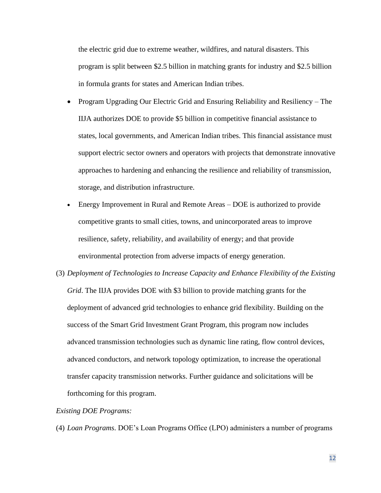the electric grid due to extreme weather, wildfires, and natural disasters. This program is split between \$2.5 billion in matching grants for industry and \$2.5 billion in formula grants for states and American Indian tribes.

- Program Upgrading Our Electric Grid and Ensuring Reliability and Resiliency The IIJA authorizes DOE to provide \$5 billion in competitive financial assistance to states, local governments, and American Indian tribes. This financial assistance must support electric sector owners and operators with projects that demonstrate innovative approaches to hardening and enhancing the resilience and reliability of transmission, storage, and distribution infrastructure.
- Energy Improvement in Rural and Remote Areas DOE is authorized to provide competitive grants to small cities, towns, and unincorporated areas to improve resilience, safety, reliability, and availability of energy; and that provide environmental protection from adverse impacts of energy generation.
- (3) *Deployment of Technologies to Increase Capacity and Enhance Flexibility of the Existing Grid*. The IIJA provides DOE with \$3 billion to provide matching grants for the deployment of advanced grid technologies to enhance grid flexibility. Building on the success of the Smart Grid Investment Grant Program, this program now includes advanced transmission technologies such as dynamic line rating, flow control devices, advanced conductors, and network topology optimization, to increase the operational transfer capacity transmission networks. Further guidance and solicitations will be forthcoming for this program.

## *Existing DOE Programs:*

(4) *Loan Programs*. DOE's Loan Programs Office (LPO) administers a number of programs

12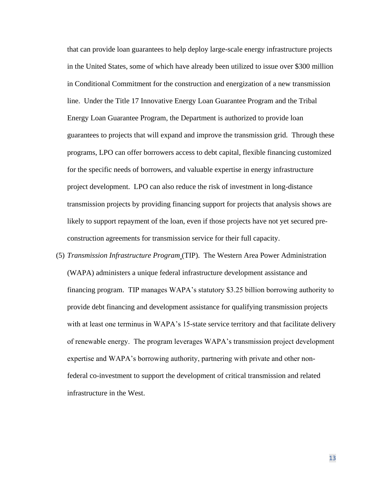that can provide loan guarantees to help deploy large-scale energy infrastructure projects in the United States, some of which have already been utilized to issue over \$300 million in Conditional Commitment for the construction and energization of a new transmission line. Under the Title 17 Innovative Energy Loan Guarantee Program and the Tribal Energy Loan Guarantee Program, the Department is authorized to provide loan guarantees to projects that will expand and improve the transmission grid. Through these programs, LPO can offer borrowers access to debt capital, flexible financing customized for the specific needs of borrowers, and valuable expertise in energy infrastructure project development. LPO can also reduce the risk of investment in long-distance transmission projects by providing financing support for projects that analysis shows are likely to support repayment of the loan, even if those projects have not yet secured preconstruction agreements for transmission service for their full capacity.

(5) *Transmission Infrastructure Program* (TIP). The Western Area Power Administration (WAPA) administers a unique federal infrastructure development assistance and financing program. TIP manages WAPA's statutory \$3.25 billion borrowing authority to provide debt financing and development assistance for qualifying transmission projects with at least one terminus in WAPA's 15-state service territory and that facilitate delivery of renewable energy. The program leverages WAPA's transmission project development expertise and WAPA's borrowing authority, partnering with private and other nonfederal co-investment to support the development of critical transmission and related infrastructure in the West.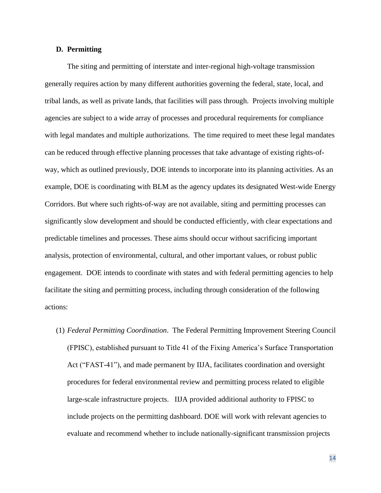## **D. Permitting**

The siting and permitting of interstate and inter-regional high-voltage transmission generally requires action by many different authorities governing the federal, state, local, and tribal lands, as well as private lands, that facilities will pass through. Projects involving multiple agencies are subject to a wide array of processes and procedural requirements for compliance with legal mandates and multiple authorizations. The time required to meet these legal mandates can be reduced through effective planning processes that take advantage of existing rights-ofway, which as outlined previously, DOE intends to incorporate into its planning activities. As an example, DOE is coordinating with BLM as the agency updates its designated West-wide Energy Corridors. But where such rights-of-way are not available, siting and permitting processes can significantly slow development and should be conducted efficiently, with clear expectations and predictable timelines and processes. These aims should occur without sacrificing important analysis, protection of environmental, cultural, and other important values, or robust public engagement. DOE intends to coordinate with states and with federal permitting agencies to help facilitate the siting and permitting process, including through consideration of the following actions:

(1) *Federal Permitting Coordination*. The Federal Permitting Improvement Steering Council (FPISC), established pursuant to Title 41 of the Fixing America's Surface Transportation Act ("FAST-41"), and made permanent by IIJA, facilitates coordination and oversight procedures for federal environmental review and permitting process related to eligible large-scale infrastructure projects. IIJA provided additional authority to FPISC to include projects on the permitting dashboard. DOE will work with relevant agencies to evaluate and recommend whether to include nationally-significant transmission projects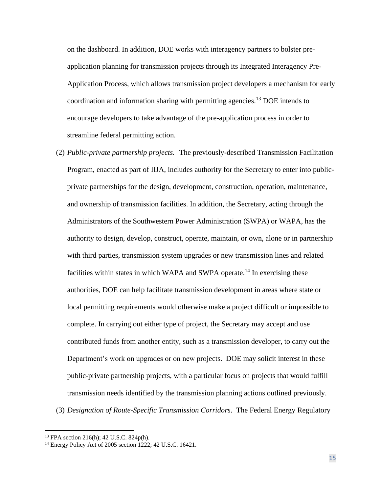on the dashboard. In addition, DOE works with interagency partners to bolster preapplication planning for transmission projects through its Integrated Interagency Pre-Application Process, which allows transmission project developers a mechanism for early coordination and information sharing with permitting agencies.<sup>13</sup> DOE intends to encourage developers to take advantage of the pre-application process in order to streamline federal permitting action.

- (2) *Public-private partnership projects.* The previously-described Transmission Facilitation Program, enacted as part of IIJA, includes authority for the Secretary to enter into publicprivate partnerships for the design, development, construction, operation, maintenance, and ownership of transmission facilities. In addition, the Secretary, acting through the Administrators of the Southwestern Power Administration (SWPA) or WAPA, has the authority to design, develop, construct, operate, maintain, or own, alone or in partnership with third parties, transmission system upgrades or new transmission lines and related facilities within states in which WAPA and SWPA operate.<sup>14</sup> In exercising these authorities, DOE can help facilitate transmission development in areas where state or local permitting requirements would otherwise make a project difficult or impossible to complete. In carrying out either type of project, the Secretary may accept and use contributed funds from another entity, such as a transmission developer, to carry out the Department's work on upgrades or on new projects. DOE may solicit interest in these public-private partnership projects, with a particular focus on projects that would fulfill transmission needs identified by the transmission planning actions outlined previously.
- (3) *Designation of Route-Specific Transmission Corridors*. The Federal Energy Regulatory

<sup>13</sup> FPA section 216(h); 42 U.S.C. 824p(h).

<sup>14</sup> Energy Policy Act of 2005 section 1222; 42 U.S.C. 16421.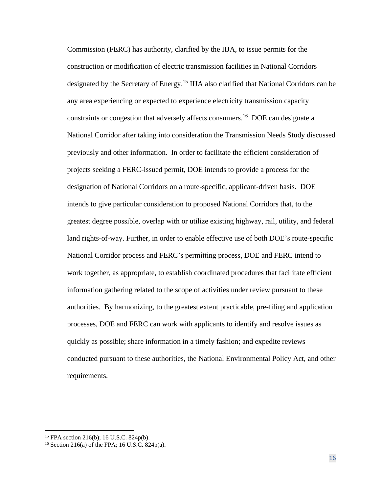Commission (FERC) has authority, clarified by the IIJA, to issue permits for the construction or modification of electric transmission facilities in National Corridors designated by the Secretary of Energy.<sup>15</sup> IIJA also clarified that National Corridors can be any area experiencing or expected to experience electricity transmission capacity constraints or congestion that adversely affects consumers.<sup>16</sup> DOE can designate a National Corridor after taking into consideration the Transmission Needs Study discussed previously and other information. In order to facilitate the efficient consideration of projects seeking a FERC-issued permit, DOE intends to provide a process for the designation of National Corridors on a route-specific, applicant-driven basis. DOE intends to give particular consideration to proposed National Corridors that, to the greatest degree possible, overlap with or utilize existing highway, rail, utility, and federal land rights-of-way. Further, in order to enable effective use of both DOE's route-specific National Corridor process and FERC's permitting process, DOE and FERC intend to work together, as appropriate, to establish coordinated procedures that facilitate efficient information gathering related to the scope of activities under review pursuant to these authorities. By harmonizing, to the greatest extent practicable, pre-filing and application processes, DOE and FERC can work with applicants to identify and resolve issues as quickly as possible; share information in a timely fashion; and expedite reviews conducted pursuant to these authorities, the National Environmental Policy Act, and other requirements.

<sup>15</sup> FPA section 216(b); 16 U.S.C. 824p(b).

<sup>&</sup>lt;sup>16</sup> Section 216(a) of the FPA; 16 U.S.C. 824 $p(a)$ .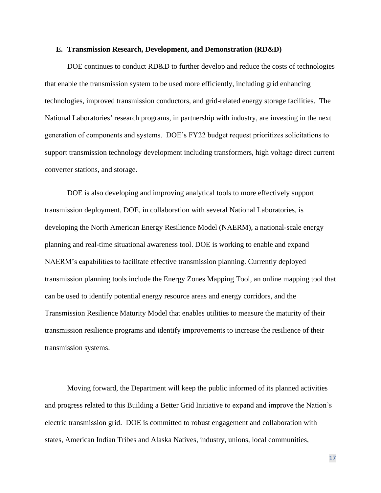#### **E. Transmission Research, Development, and Demonstration (RD&D)**

DOE continues to conduct RD&D to further develop and reduce the costs of technologies that enable the transmission system to be used more efficiently, including grid enhancing technologies, improved transmission conductors, and grid-related energy storage facilities. The National Laboratories' research programs, in partnership with industry, are investing in the next generation of components and systems. DOE's FY22 budget request prioritizes solicitations to support transmission technology development including transformers, high voltage direct current converter stations, and storage.

DOE is also developing and improving analytical tools to more effectively support transmission deployment. DOE, in collaboration with several National Laboratories, is developing the North American Energy Resilience Model (NAERM), a national-scale energy planning and real-time situational awareness tool. DOE is working to enable and expand NAERM's capabilities to facilitate effective transmission planning. Currently deployed transmission planning tools include the Energy Zones Mapping Tool, an online mapping tool that can be used to identify potential energy resource areas and energy corridors, and the Transmission Resilience Maturity Model that enables utilities to measure the maturity of their transmission resilience programs and identify improvements to increase the resilience of their transmission systems.

Moving forward, the Department will keep the public informed of its planned activities and progress related to this Building a Better Grid Initiative to expand and improve the Nation's electric transmission grid. DOE is committed to robust engagement and collaboration with states, American Indian Tribes and Alaska Natives, industry, unions, local communities,

17